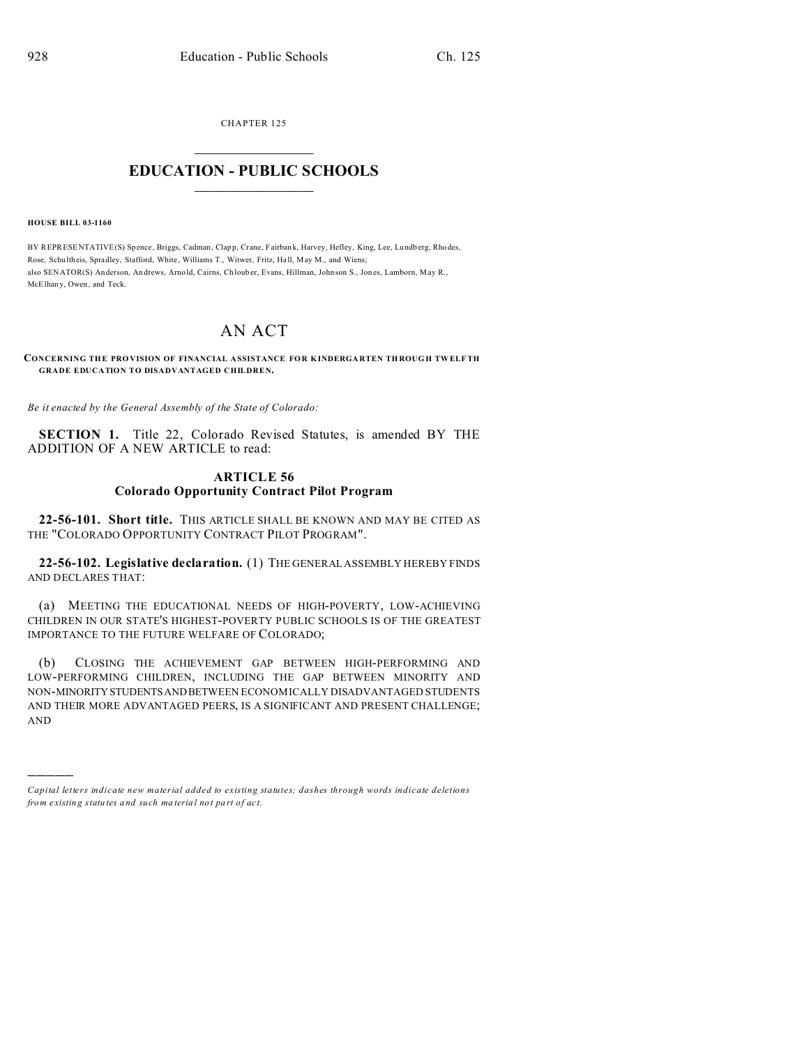CHAPTER 125  $\overline{\phantom{a}}$  , where  $\overline{\phantom{a}}$ 

## **EDUCATION - PUBLIC SCHOOLS**  $\_$   $\_$   $\_$   $\_$   $\_$   $\_$   $\_$   $\_$   $\_$

**HOUSE BILL 03-1160**

)))))

BY REPRESENTATIVE(S) Spence, Briggs, Cadman, Clapp, Crane, Fairbank, Harvey, Hefley, King, Lee, Lundberg, Rhodes, Rose, Schu ltheis, Spradley, Stafford, White, Williams T., Witwer, Fritz, Hall, May M., and Wiens; also SENATOR(S) Anderson, An drews, Arnold, Cairns, Ch loub er, Evans, Hillman, John son S., Jon es, Lamborn, May R., McElhan y, Owen, and Teck.

## AN ACT

## **CONCERNING TH E PRO VISION OF FINANCIAL A SSISTANCE FOR K INDERGA RTEN TH ROUG H TWELF TH GRADE EDUCATION TO DISADVANTAGED CHILDREN.**

*Be it enacted by the General Assembly of the State of Colorado:*

**SECTION 1.** Title 22, Colorado Revised Statutes, is amended BY THE ADDITION OF A NEW ARTICLE to read:

## **ARTICLE 56 Colorado Opportunity Contract Pilot Program**

**22-56-101. Short title.** THIS ARTICLE SHALL BE KNOWN AND MAY BE CITED AS THE "COLORADO OPPORTUNITY CONTRACT PILOT PROGRAM".

**22-56-102. Legislative declaration.** (1) THE GENERAL ASSEMBLY HEREBY FINDS AND DECLARES THAT:

(a) MEETING THE EDUCATIONAL NEEDS OF HIGH-POVERTY, LOW-ACHIEVING CHILDREN IN OUR STATE'S HIGHEST-POVERTY PUBLIC SCHOOLS IS OF THE GREATEST IMPORTANCE TO THE FUTURE WELFARE OF COLORADO;

(b) CLOSING THE ACHIEVEMENT GAP BETWEEN HIGH-PERFORMING AND LOW-PERFORMING CHILDREN, INCLUDING THE GAP BETWEEN MINORITY AND NON-MINORITYSTUDENTSANDBETWEEN ECONOMICALLY DISADVANTAGED STUDENTS AND THEIR MORE ADVANTAGED PEERS, IS A SIGNIFICANT AND PRESENT CHALLENGE; AND

*Capital letters indicate new material added to existing statutes; dashes through words indicate deletions from e xistin g statu tes a nd such ma teria l no t pa rt of ac t.*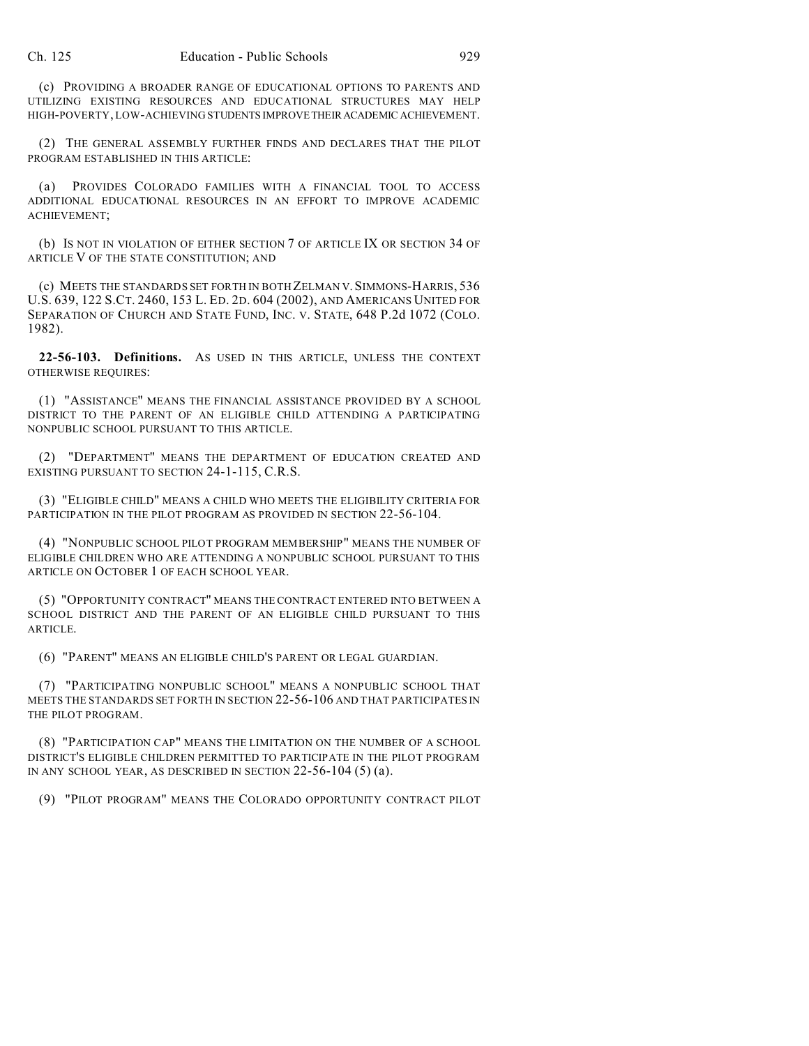(c) PROVIDING A BROADER RANGE OF EDUCATIONAL OPTIONS TO PARENTS AND UTILIZING EXISTING RESOURCES AND EDUCATIONAL STRUCTURES MAY HELP HIGH-POVERTY, LOW-ACHIEVING STUDENTS IMPROVETHEIRACADEMIC ACHIEVEMENT.

(2) THE GENERAL ASSEMBLY FURTHER FINDS AND DECLARES THAT THE PILOT PROGRAM ESTABLISHED IN THIS ARTICLE:

(a) PROVIDES COLORADO FAMILIES WITH A FINANCIAL TOOL TO ACCESS ADDITIONAL EDUCATIONAL RESOURCES IN AN EFFORT TO IMPROVE ACADEMIC ACHIEVEMENT;

(b) IS NOT IN VIOLATION OF EITHER SECTION 7 OF ARTICLE IX OR SECTION 34 OF ARTICLE V OF THE STATE CONSTITUTION; AND

(c) MEETS THE STANDARDS SET FORTH IN BOTH ZELMAN V.SIMMONS-HARRIS, 536 U.S. 639, 122 S.CT. 2460, 153 L. ED. 2D. 604 (2002), AND AMERICANS UNITED FOR SEPARATION OF CHURCH AND STATE FUND, INC. V. STATE, 648 P.2d 1072 (COLO. 1982).

**22-56-103. Definitions.** AS USED IN THIS ARTICLE, UNLESS THE CONTEXT OTHERWISE REQUIRES:

(1) "ASSISTANCE" MEANS THE FINANCIAL ASSISTANCE PROVIDED BY A SCHOOL DISTRICT TO THE PARENT OF AN ELIGIBLE CHILD ATTENDING A PARTICIPATING NONPUBLIC SCHOOL PURSUANT TO THIS ARTICLE.

(2) "DEPARTMENT" MEANS THE DEPARTMENT OF EDUCATION CREATED AND EXISTING PURSUANT TO SECTION 24-1-115, C.R.S.

(3) "ELIGIBLE CHILD" MEANS A CHILD WHO MEETS THE ELIGIBILITY CRITERIA FOR PARTICIPATION IN THE PILOT PROGRAM AS PROVIDED IN SECTION 22-56-104.

(4) "NONPUBLIC SCHOOL PILOT PROGRAM MEMBERSHIP" MEANS THE NUMBER OF ELIGIBLE CHILDREN WHO ARE ATTENDING A NONPUBLIC SCHOOL PURSUANT TO THIS ARTICLE ON OCTOBER 1 OF EACH SCHOOL YEAR.

(5) "OPPORTUNITY CONTRACT" MEANS THE CONTRACT ENTERED INTO BETWEEN A SCHOOL DISTRICT AND THE PARENT OF AN ELIGIBLE CHILD PURSUANT TO THIS ARTICLE.

(6) "PARENT" MEANS AN ELIGIBLE CHILD'S PARENT OR LEGAL GUARDIAN.

(7) "PARTICIPATING NONPUBLIC SCHOOL" MEANS A NONPUBLIC SCHOOL THAT MEETS THE STANDARDS SET FORTH IN SECTION 22-56-106 AND THAT PARTICIPATES IN THE PILOT PROGRAM.

(8) "PARTICIPATION CAP" MEANS THE LIMITATION ON THE NUMBER OF A SCHOOL DISTRICT'S ELIGIBLE CHILDREN PERMITTED TO PARTICIPATE IN THE PILOT PROGRAM IN ANY SCHOOL YEAR, AS DESCRIBED IN SECTION 22-56-104 (5) (a).

(9) "PILOT PROGRAM" MEANS THE COLORADO OPPORTUNITY CONTRACT PILOT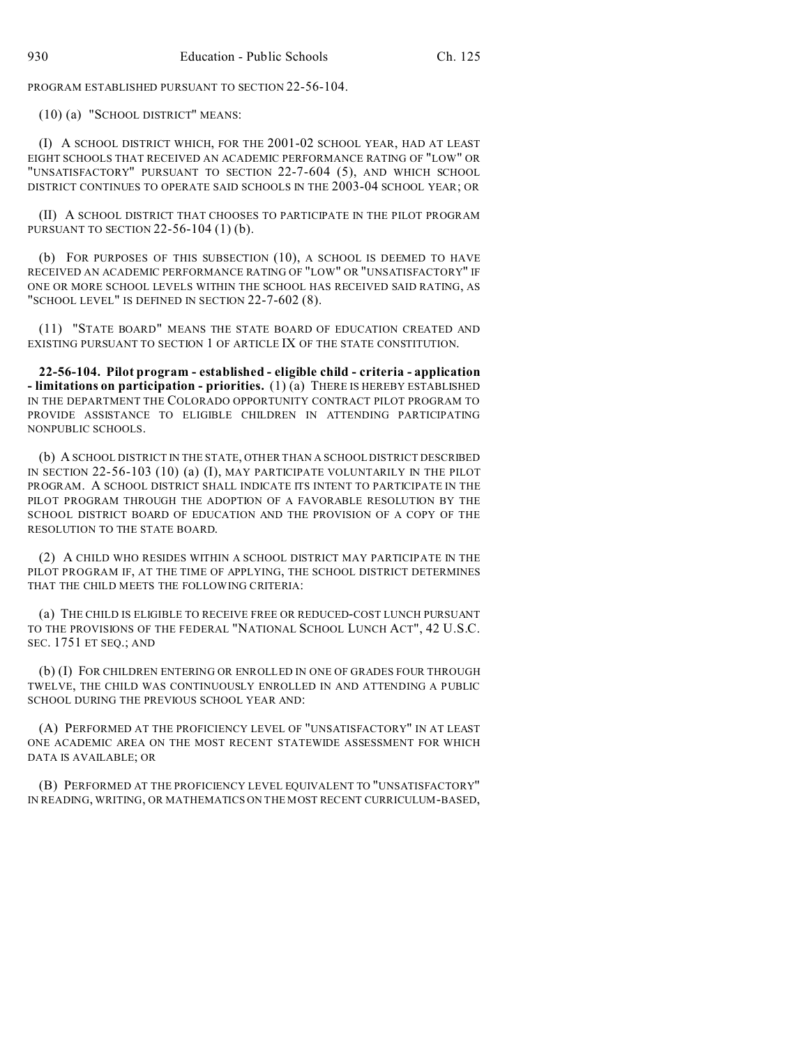PROGRAM ESTABLISHED PURSUANT TO SECTION 22-56-104.

(10) (a) "SCHOOL DISTRICT" MEANS:

(I) A SCHOOL DISTRICT WHICH, FOR THE 2001-02 SCHOOL YEAR, HAD AT LEAST EIGHT SCHOOLS THAT RECEIVED AN ACADEMIC PERFORMANCE RATING OF "LOW" OR "UNSATISFACTORY" PURSUANT TO SECTION 22-7-604 (5), AND WHICH SCHOOL DISTRICT CONTINUES TO OPERATE SAID SCHOOLS IN THE 2003-04 SCHOOL YEAR; OR

(II) A SCHOOL DISTRICT THAT CHOOSES TO PARTICIPATE IN THE PILOT PROGRAM PURSUANT TO SECTION 22-56-104 (1) (b).

(b) FOR PURPOSES OF THIS SUBSECTION (10), A SCHOOL IS DEEMED TO HAVE RECEIVED AN ACADEMIC PERFORMANCE RATING OF "LOW" OR "UNSATISFACTORY" IF ONE OR MORE SCHOOL LEVELS WITHIN THE SCHOOL HAS RECEIVED SAID RATING, AS "SCHOOL LEVEL" IS DEFINED IN SECTION 22-7-602 (8).

(11) "STATE BOARD" MEANS THE STATE BOARD OF EDUCATION CREATED AND EXISTING PURSUANT TO SECTION 1 OF ARTICLE IX OF THE STATE CONSTITUTION.

**22-56-104. Pilot program - established - eligible child - criteria - application - limitations on participation - priorities.** (1) (a) THERE IS HEREBY ESTABLISHED IN THE DEPARTMENT THE COLORADO OPPORTUNITY CONTRACT PILOT PROGRAM TO PROVIDE ASSISTANCE TO ELIGIBLE CHILDREN IN ATTENDING PARTICIPATING NONPUBLIC SCHOOLS.

(b) A SCHOOL DISTRICT IN THE STATE, OTHER THAN A SCHOOL DISTRICT DESCRIBED IN SECTION 22-56-103 (10) (a) (I), MAY PARTICIPATE VOLUNTARILY IN THE PILOT PROGRAM. A SCHOOL DISTRICT SHALL INDICATE ITS INTENT TO PARTICIPATE IN THE PILOT PROGRAM THROUGH THE ADOPTION OF A FAVORABLE RESOLUTION BY THE SCHOOL DISTRICT BOARD OF EDUCATION AND THE PROVISION OF A COPY OF THE RESOLUTION TO THE STATE BOARD.

(2) A CHILD WHO RESIDES WITHIN A SCHOOL DISTRICT MAY PARTICIPATE IN THE PILOT PROGRAM IF, AT THE TIME OF APPLYING, THE SCHOOL DISTRICT DETERMINES THAT THE CHILD MEETS THE FOLLOWING CRITERIA:

(a) THE CHILD IS ELIGIBLE TO RECEIVE FREE OR REDUCED-COST LUNCH PURSUANT TO THE PROVISIONS OF THE FEDERAL "NATIONAL SCHOOL LUNCH ACT", 42 U.S.C. SEC. 1751 ET SEQ.; AND

(b) (I) FOR CHILDREN ENTERING OR ENROLLED IN ONE OF GRADES FOUR THROUGH TWELVE, THE CHILD WAS CONTINUOUSLY ENROLLED IN AND ATTENDING A PUBLIC SCHOOL DURING THE PREVIOUS SCHOOL YEAR AND:

(A) PERFORMED AT THE PROFICIENCY LEVEL OF "UNSATISFACTORY" IN AT LEAST ONE ACADEMIC AREA ON THE MOST RECENT STATEWIDE ASSESSMENT FOR WHICH DATA IS AVAILABLE; OR

(B) PERFORMED AT THE PROFICIENCY LEVEL EQUIVALENT TO "UNSATISFACTORY" IN READING, WRITING, OR MATHEMATICS ON THE MOST RECENT CURRICULUM-BASED,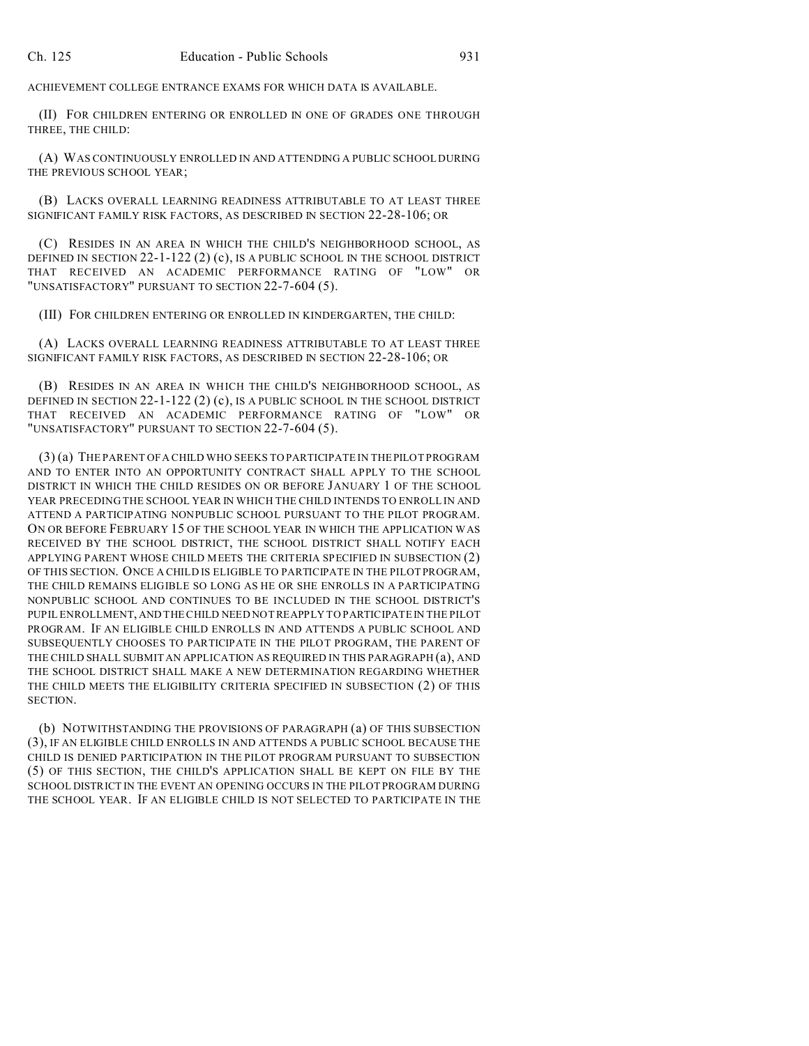ACHIEVEMENT COLLEGE ENTRANCE EXAMS FOR WHICH DATA IS AVAILABLE.

(II) FOR CHILDREN ENTERING OR ENROLLED IN ONE OF GRADES ONE THROUGH THREE, THE CHILD:

(A) WAS CONTINUOUSLY ENROLLED IN AND ATTENDING A PUBLIC SCHOOL DURING THE PREVIOUS SCHOOL YEAR;

(B) LACKS OVERALL LEARNING READINESS ATTRIBUTABLE TO AT LEAST THREE SIGNIFICANT FAMILY RISK FACTORS, AS DESCRIBED IN SECTION 22-28-106; OR

(C) RESIDES IN AN AREA IN WHICH THE CHILD'S NEIGHBORHOOD SCHOOL, AS DEFINED IN SECTION  $22-1-122(2)(c)$ , IS A PUBLIC SCHOOL IN THE SCHOOL DISTRICT THAT RECEIVED AN ACADEMIC PERFORMANCE RATING OF "LOW" OR "UNSATISFACTORY" PURSUANT TO SECTION 22-7-604 (5).

(III) FOR CHILDREN ENTERING OR ENROLLED IN KINDERGARTEN, THE CHILD:

(A) LACKS OVERALL LEARNING READINESS ATTRIBUTABLE TO AT LEAST THREE SIGNIFICANT FAMILY RISK FACTORS, AS DESCRIBED IN SECTION 22-28-106; OR

(B) RESIDES IN AN AREA IN WHICH THE CHILD'S NEIGHBORHOOD SCHOOL, AS DEFINED IN SECTION 22-1-122 (2) (c), IS A PUBLIC SCHOOL IN THE SCHOOL DISTRICT THAT RECEIVED AN ACADEMIC PERFORMANCE RATING OF "LOW" OR "UNSATISFACTORY" PURSUANT TO SECTION 22-7-604 (5).

(3) (a) THE PARENT OF A CHILD WHO SEEKS TO PARTICIPATE IN THE PILOT PROGRAM AND TO ENTER INTO AN OPPORTUNITY CONTRACT SHALL APPLY TO THE SCHOOL DISTRICT IN WHICH THE CHILD RESIDES ON OR BEFORE JANUARY 1 OF THE SCHOOL YEAR PRECEDING THE SCHOOL YEAR IN WHICH THE CHILD INTENDS TO ENROLL IN AND ATTEND A PARTICIPATING NONPUBLIC SCHOOL PURSUANT TO THE PILOT PROGRAM. ON OR BEFORE FEBRUARY 15 OF THE SCHOOL YEAR IN WHICH THE APPLICATION WAS RECEIVED BY THE SCHOOL DISTRICT, THE SCHOOL DISTRICT SHALL NOTIFY EACH APPLYING PARENT WHOSE CHILD MEETS THE CRITERIA SPECIFIED IN SUBSECTION (2) OF THIS SECTION. ONCE A CHILD IS ELIGIBLE TO PARTICIPATE IN THE PILOT PROGRAM, THE CHILD REMAINS ELIGIBLE SO LONG AS HE OR SHE ENROLLS IN A PARTICIPATING NONPUBLIC SCHOOL AND CONTINUES TO BE INCLUDED IN THE SCHOOL DISTRICT'S PUPIL ENROLLMENT, AND THE CHILD NEED NOT REAPPLY TO PARTICIPATE IN THE PILOT PROGRAM. IF AN ELIGIBLE CHILD ENROLLS IN AND ATTENDS A PUBLIC SCHOOL AND SUBSEQUENTLY CHOOSES TO PARTICIPATE IN THE PILOT PROGRAM, THE PARENT OF THE CHILD SHALL SUBMIT AN APPLICATION AS REQUIRED IN THIS PARAGRAPH (a), AND THE SCHOOL DISTRICT SHALL MAKE A NEW DETERMINATION REGARDING WHETHER THE CHILD MEETS THE ELIGIBILITY CRITERIA SPECIFIED IN SUBSECTION (2) OF THIS SECTION.

(b) NOTWITHSTANDING THE PROVISIONS OF PARAGRAPH (a) OF THIS SUBSECTION (3), IF AN ELIGIBLE CHILD ENROLLS IN AND ATTENDS A PUBLIC SCHOOL BECAUSE THE CHILD IS DENIED PARTICIPATION IN THE PILOT PROGRAM PURSUANT TO SUBSECTION (5) OF THIS SECTION, THE CHILD'S APPLICATION SHALL BE KEPT ON FILE BY THE SCHOOL DISTRICT IN THE EVENT AN OPENING OCCURS IN THE PILOT PROGRAM DURING THE SCHOOL YEAR. IF AN ELIGIBLE CHILD IS NOT SELECTED TO PARTICIPATE IN THE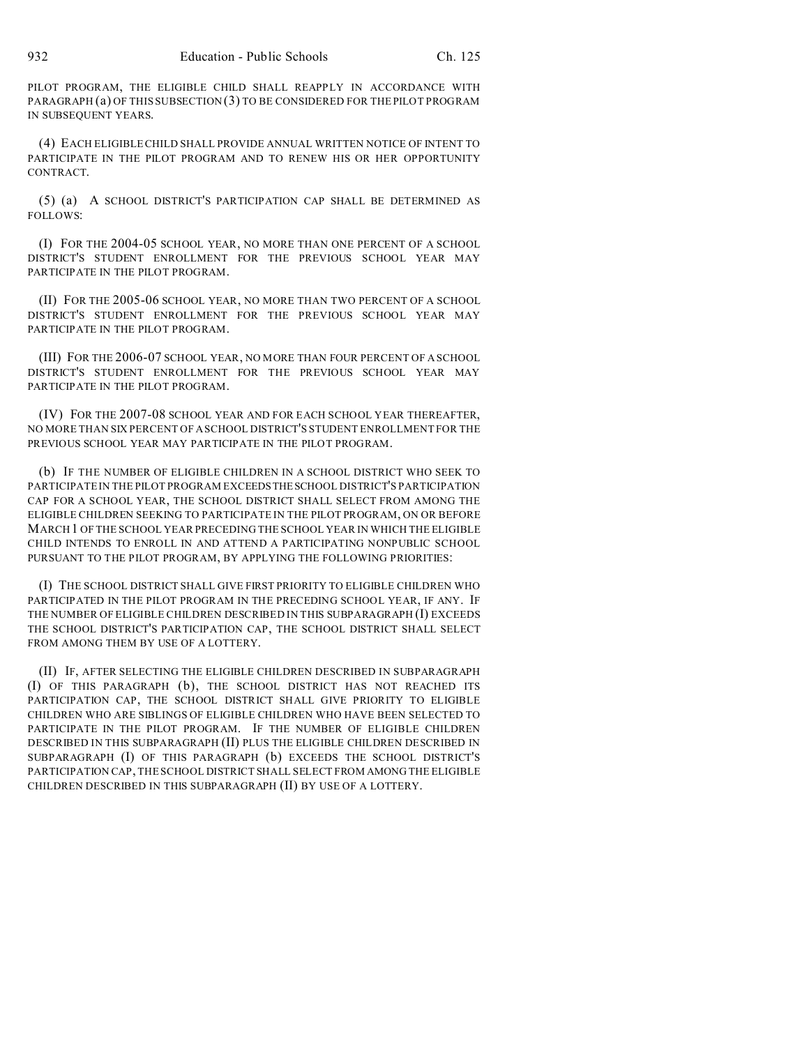PILOT PROGRAM, THE ELIGIBLE CHILD SHALL REAPPLY IN ACCORDANCE WITH PARAGRAPH (a) OF THIS SUBSECTION (3) TO BE CONSIDERED FOR THE PILOT PROGRAM IN SUBSEQUENT YEARS.

(4) EACH ELIGIBLE CHILD SHALL PROVIDE ANNUAL WRITTEN NOTICE OF INTENT TO PARTICIPATE IN THE PILOT PROGRAM AND TO RENEW HIS OR HER OPPORTUNITY CONTRACT.

(5) (a) A SCHOOL DISTRICT'S PARTICIPATION CAP SHALL BE DETERMINED AS FOLLOWS:

(I) FOR THE 2004-05 SCHOOL YEAR, NO MORE THAN ONE PERCENT OF A SCHOOL DISTRICT'S STUDENT ENROLLMENT FOR THE PREVIOUS SCHOOL YEAR MAY PARTICIPATE IN THE PILOT PROGRAM.

(II) FOR THE 2005-06 SCHOOL YEAR, NO MORE THAN TWO PERCENT OF A SCHOOL DISTRICT'S STUDENT ENROLLMENT FOR THE PREVIOUS SCHOOL YEAR MAY PARTICIPATE IN THE PILOT PROGRAM.

(III) FOR THE 2006-07 SCHOOL YEAR, NO MORE THAN FOUR PERCENT OF A SCHOOL DISTRICT'S STUDENT ENROLLMENT FOR THE PREVIOUS SCHOOL YEAR MAY PARTICIPATE IN THE PILOT PROGRAM.

(IV) FOR THE 2007-08 SCHOOL YEAR AND FOR EACH SCHOOL YEAR THEREAFTER, NO MORE THAN SIX PERCENT OF A SCHOOL DISTRICT'S STUDENT ENROLLMENT FOR THE PREVIOUS SCHOOL YEAR MAY PARTICIPATE IN THE PILOT PROGRAM.

(b) IF THE NUMBER OF ELIGIBLE CHILDREN IN A SCHOOL DISTRICT WHO SEEK TO PARTICIPATE IN THE PILOT PROGRAM EXCEEDSTHESCHOOL DISTRICT'S PARTICIPATION CAP FOR A SCHOOL YEAR, THE SCHOOL DISTRICT SHALL SELECT FROM AMONG THE ELIGIBLE CHILDREN SEEKING TO PARTICIPATE IN THE PILOT PROGRAM, ON OR BEFORE MARCH1 OF THE SCHOOL YEAR PRECEDING THE SCHOOL YEAR IN WHICH THE ELIGIBLE CHILD INTENDS TO ENROLL IN AND ATTEND A PARTICIPATING NONPUBLIC SCHOOL PURSUANT TO THE PILOT PROGRAM, BY APPLYING THE FOLLOWING PRIORITIES:

(I) THE SCHOOL DISTRICT SHALL GIVE FIRST PRIORITY TO ELIGIBLE CHILDREN WHO PARTICIPATED IN THE PILOT PROGRAM IN THE PRECEDING SCHOOL YEAR, IF ANY. IF THE NUMBER OF ELIGIBLE CHILDREN DESCRIBED IN THIS SUBPARAGRAPH (I) EXCEEDS THE SCHOOL DISTRICT'S PARTICIPATION CAP, THE SCHOOL DISTRICT SHALL SELECT FROM AMONG THEM BY USE OF A LOTTERY.

(II) IF, AFTER SELECTING THE ELIGIBLE CHILDREN DESCRIBED IN SUBPARAGRAPH (I) OF THIS PARAGRAPH (b), THE SCHOOL DISTRICT HAS NOT REACHED ITS PARTICIPATION CAP, THE SCHOOL DISTRICT SHALL GIVE PRIORITY TO ELIGIBLE CHILDREN WHO ARE SIBLINGS OF ELIGIBLE CHILDREN WHO HAVE BEEN SELECTED TO PARTICIPATE IN THE PILOT PROGRAM. IF THE NUMBER OF ELIGIBLE CHILDREN DESCRIBED IN THIS SUBPARAGRAPH (II) PLUS THE ELIGIBLE CHILDREN DESCRIBED IN SUBPARAGRAPH (I) OF THIS PARAGRAPH (b) EXCEEDS THE SCHOOL DISTRICT'S PARTICIPATION CAP, THE SCHOOL DISTRICT SHALL SELECT FROM AMONG THE ELIGIBLE CHILDREN DESCRIBED IN THIS SUBPARAGRAPH (II) BY USE OF A LOTTERY.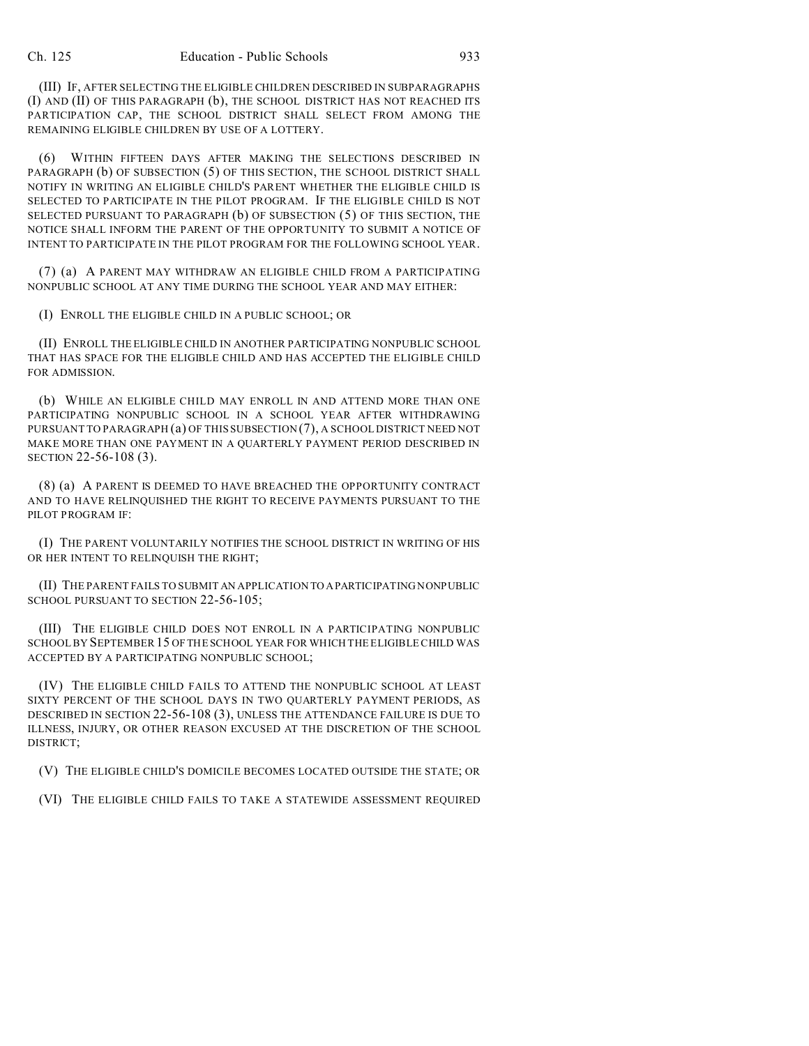(III) IF, AFTER SELECTING THE ELIGIBLE CHILDREN DESCRIBED IN SUBPARAGRAPHS (I) AND (II) OF THIS PARAGRAPH (b), THE SCHOOL DISTRICT HAS NOT REACHED ITS PARTICIPATION CAP, THE SCHOOL DISTRICT SHALL SELECT FROM AMONG THE REMAINING ELIGIBLE CHILDREN BY USE OF A LOTTERY.

(6) WITHIN FIFTEEN DAYS AFTER MAKING THE SELECTIONS DESCRIBED IN PARAGRAPH (b) OF SUBSECTION (5) OF THIS SECTION, THE SCHOOL DISTRICT SHALL NOTIFY IN WRITING AN ELIGIBLE CHILD'S PARENT WHETHER THE ELIGIBLE CHILD IS SELECTED TO PARTICIPATE IN THE PILOT PROGRAM. IF THE ELIGIBLE CHILD IS NOT SELECTED PURSUANT TO PARAGRAPH (b) OF SUBSECTION (5) OF THIS SECTION, THE NOTICE SHALL INFORM THE PARENT OF THE OPPORTUNITY TO SUBMIT A NOTICE OF INTENT TO PARTICIPATE IN THE PILOT PROGRAM FOR THE FOLLOWING SCHOOL YEAR.

(7) (a) A PARENT MAY WITHDRAW AN ELIGIBLE CHILD FROM A PARTICIPATING NONPUBLIC SCHOOL AT ANY TIME DURING THE SCHOOL YEAR AND MAY EITHER:

(I) ENROLL THE ELIGIBLE CHILD IN A PUBLIC SCHOOL; OR

(II) ENROLL THE ELIGIBLE CHILD IN ANOTHER PARTICIPATING NONPUBLIC SCHOOL THAT HAS SPACE FOR THE ELIGIBLE CHILD AND HAS ACCEPTED THE ELIGIBLE CHILD FOR ADMISSION.

(b) WHILE AN ELIGIBLE CHILD MAY ENROLL IN AND ATTEND MORE THAN ONE PARTICIPATING NONPUBLIC SCHOOL IN A SCHOOL YEAR AFTER WITHDRAWING PURSUANT TO PARAGRAPH (a) OF THIS SUBSECTION (7), A SCHOOL DISTRICT NEED NOT MAKE MORE THAN ONE PAYMENT IN A QUARTERLY PAYMENT PERIOD DESCRIBED IN SECTION 22-56-108 (3).

(8) (a) A PARENT IS DEEMED TO HAVE BREACHED THE OPPORTUNITY CONTRACT AND TO HAVE RELINQUISHED THE RIGHT TO RECEIVE PAYMENTS PURSUANT TO THE PILOT PROGRAM IF:

(I) THE PARENT VOLUNTARILY NOTIFIES THE SCHOOL DISTRICT IN WRITING OF HIS OR HER INTENT TO RELINQUISH THE RIGHT;

(II) THE PARENT FAILS TO SUBMIT AN APPLICATION TO APARTICIPATING NONPUBLIC SCHOOL PURSUANT TO SECTION 22-56-105:

(III) THE ELIGIBLE CHILD DOES NOT ENROLL IN A PARTICIPATING NONPUBLIC SCHOOL BY SEPTEMBER 15 OF THE SCHOOL YEAR FOR WHICH THE ELIGIBLE CHILD WAS ACCEPTED BY A PARTICIPATING NONPUBLIC SCHOOL;

(IV) THE ELIGIBLE CHILD FAILS TO ATTEND THE NONPUBLIC SCHOOL AT LEAST SIXTY PERCENT OF THE SCHOOL DAYS IN TWO QUARTERLY PAYMENT PERIODS, AS DESCRIBED IN SECTION 22-56-108 (3), UNLESS THE ATTENDANCE FAILURE IS DUE TO ILLNESS, INJURY, OR OTHER REASON EXCUSED AT THE DISCRETION OF THE SCHOOL DISTRICT;

(V) THE ELIGIBLE CHILD'S DOMICILE BECOMES LOCATED OUTSIDE THE STATE; OR

(VI) THE ELIGIBLE CHILD FAILS TO TAKE A STATEWIDE ASSESSMENT REQUIRED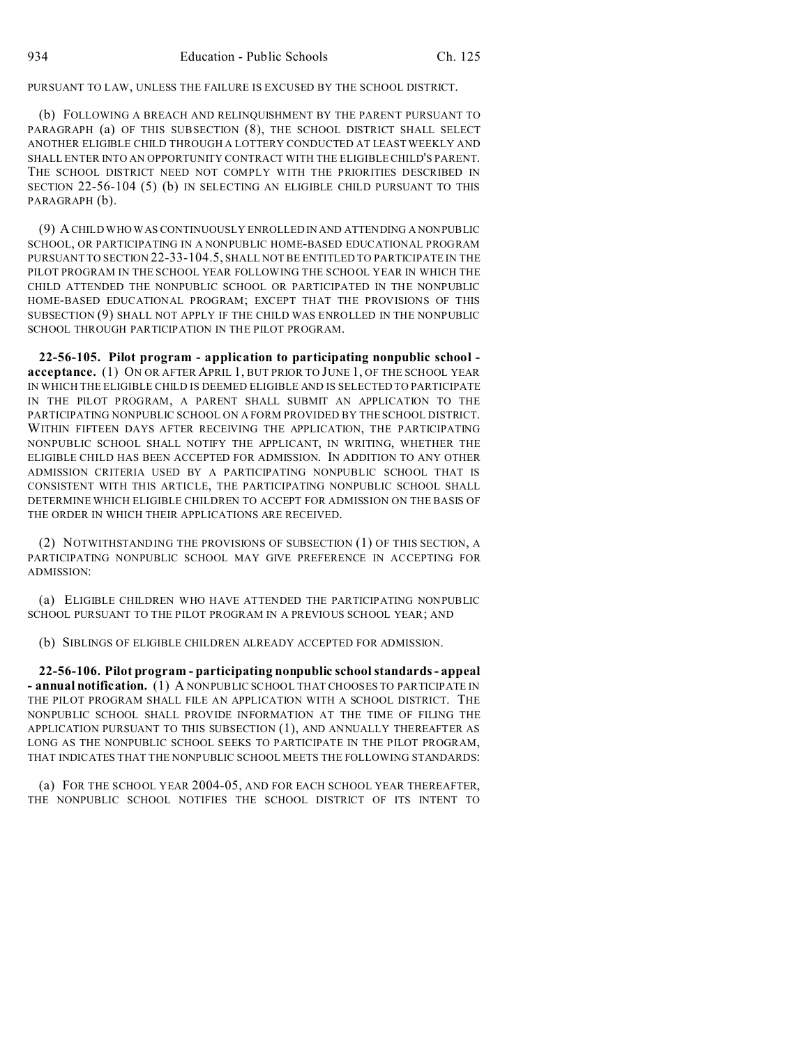PURSUANT TO LAW, UNLESS THE FAILURE IS EXCUSED BY THE SCHOOL DISTRICT.

(b) FOLLOWING A BREACH AND RELINQUISHMENT BY THE PARENT PURSUANT TO PARAGRAPH (a) OF THIS SUBSECTION (8), THE SCHOOL DISTRICT SHALL SELECT ANOTHER ELIGIBLE CHILD THROUGH A LOTTERY CONDUCTED AT LEAST WEEKLY AND SHALL ENTER INTO AN OPPORTUNITY CONTRACT WITH THE ELIGIBLE CHILD'S PARENT. THE SCHOOL DISTRICT NEED NOT COMPLY WITH THE PRIORITIES DESCRIBED IN SECTION 22-56-104 (5) (b) IN SELECTING AN ELIGIBLE CHILD PURSUANT TO THIS PARAGRAPH (b).

(9) A CHILD WHO WAS CONTINUOUSLY ENROLLED IN AND ATTENDING A NONPUBLIC SCHOOL, OR PARTICIPATING IN A NONPUBLIC HOME-BASED EDUCATIONAL PROGRAM PURSUANT TO SECTION 22-33-104.5, SHALL NOT BE ENTITLED TO PARTICIPATE IN THE PILOT PROGRAM IN THE SCHOOL YEAR FOLLOWING THE SCHOOL YEAR IN WHICH THE CHILD ATTENDED THE NONPUBLIC SCHOOL OR PARTICIPATED IN THE NONPUBLIC HOME-BASED EDUCATIONAL PROGRAM; EXCEPT THAT THE PROVISIONS OF THIS SUBSECTION (9) SHALL NOT APPLY IF THE CHILD WAS ENROLLED IN THE NONPUBLIC SCHOOL THROUGH PARTICIPATION IN THE PILOT PROGRAM.

**22-56-105. Pilot program - application to participating nonpublic school acceptance.** (1) ON OR AFTER APRIL 1, BUT PRIOR TO JUNE 1, OF THE SCHOOL YEAR IN WHICH THE ELIGIBLE CHILD IS DEEMED ELIGIBLE AND IS SELECTED TO PARTICIPATE IN THE PILOT PROGRAM, A PARENT SHALL SUBMIT AN APPLICATION TO THE PARTICIPATING NONPUBLIC SCHOOL ON A FORM PROVIDED BY THE SCHOOL DISTRICT. WITHIN FIFTEEN DAYS AFTER RECEIVING THE APPLICATION, THE PARTICIPATING NONPUBLIC SCHOOL SHALL NOTIFY THE APPLICANT, IN WRITING, WHETHER THE ELIGIBLE CHILD HAS BEEN ACCEPTED FOR ADMISSION. IN ADDITION TO ANY OTHER ADMISSION CRITERIA USED BY A PARTICIPATING NONPUBLIC SCHOOL THAT IS CONSISTENT WITH THIS ARTICLE, THE PARTICIPATING NONPUBLIC SCHOOL SHALL DETERMINE WHICH ELIGIBLE CHILDREN TO ACCEPT FOR ADMISSION ON THE BASIS OF THE ORDER IN WHICH THEIR APPLICATIONS ARE RECEIVED.

(2) NOTWITHSTANDING THE PROVISIONS OF SUBSECTION (1) OF THIS SECTION, A PARTICIPATING NONPUBLIC SCHOOL MAY GIVE PREFERENCE IN ACCEPTING FOR ADMISSION:

(a) ELIGIBLE CHILDREN WHO HAVE ATTENDED THE PARTICIPATING NONPUBLIC SCHOOL PURSUANT TO THE PILOT PROGRAM IN A PREVIOUS SCHOOL YEAR; AND

(b) SIBLINGS OF ELIGIBLE CHILDREN ALREADY ACCEPTED FOR ADMISSION.

**22-56-106. Pilot program - participating nonpublic school standards - appeal - annual notification.** (1) A NONPUBLIC SCHOOL THAT CHOOSES TO PARTICIPATE IN THE PILOT PROGRAM SHALL FILE AN APPLICATION WITH A SCHOOL DISTRICT. THE NONPUBLIC SCHOOL SHALL PROVIDE INFORMATION AT THE TIME OF FILING THE APPLICATION PURSUANT TO THIS SUBSECTION (1), AND ANNUALLY THEREAFTER AS LONG AS THE NONPUBLIC SCHOOL SEEKS TO PARTICIPATE IN THE PILOT PROGRAM, THAT INDICATES THAT THE NONPUBLIC SCHOOL MEETS THE FOLLOWING STANDARDS:

(a) FOR THE SCHOOL YEAR 2004-05, AND FOR EACH SCHOOL YEAR THEREAFTER, THE NONPUBLIC SCHOOL NOTIFIES THE SCHOOL DISTRICT OF ITS INTENT TO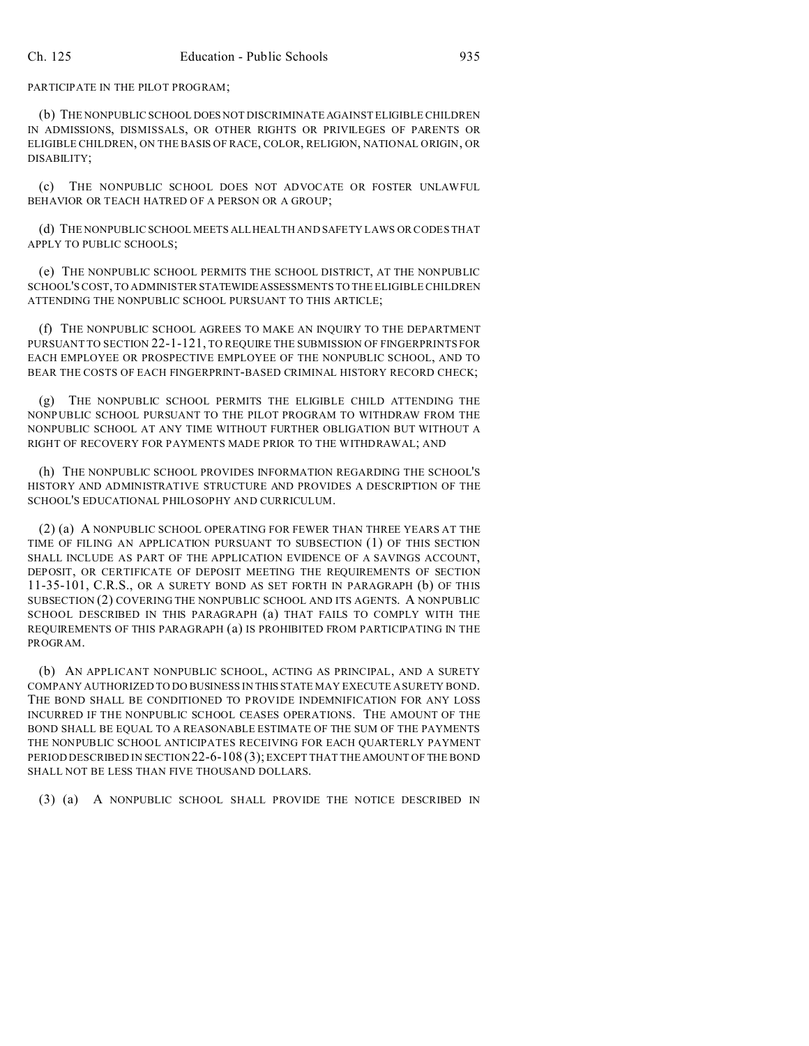PARTICIPATE IN THE PILOT PROGRAM;

(b) THE NONPUBLIC SCHOOL DOES NOT DISCRIMINATE AGAINST ELIGIBLE CHILDREN IN ADMISSIONS, DISMISSALS, OR OTHER RIGHTS OR PRIVILEGES OF PARENTS OR ELIGIBLE CHILDREN, ON THE BASIS OF RACE, COLOR, RELIGION, NATIONAL ORIGIN, OR DISABILITY;

(c) THE NONPUBLIC SCHOOL DOES NOT ADVOCATE OR FOSTER UNLAWFUL BEHAVIOR OR TEACH HATRED OF A PERSON OR A GROUP;

(d) THE NONPUBLIC SCHOOL MEETS ALL HEALTH AND SAFETY LAWS OR CODES THAT APPLY TO PUBLIC SCHOOLS;

(e) THE NONPUBLIC SCHOOL PERMITS THE SCHOOL DISTRICT, AT THE NONPUBLIC SCHOOL'S COST, TO ADMINISTER STATEWIDEASSESSMENTS TO THE ELIGIBLE CHILDREN ATTENDING THE NONPUBLIC SCHOOL PURSUANT TO THIS ARTICLE;

(f) THE NONPUBLIC SCHOOL AGREES TO MAKE AN INQUIRY TO THE DEPARTMENT PURSUANT TO SECTION 22-1-121, TO REQUIRE THE SUBMISSION OF FINGERPRINTS FOR EACH EMPLOYEE OR PROSPECTIVE EMPLOYEE OF THE NONPUBLIC SCHOOL, AND TO BEAR THE COSTS OF EACH FINGERPRINT-BASED CRIMINAL HISTORY RECORD CHECK;

(g) THE NONPUBLIC SCHOOL PERMITS THE ELIGIBLE CHILD ATTENDING THE NONPUBLIC SCHOOL PURSUANT TO THE PILOT PROGRAM TO WITHDRAW FROM THE NONPUBLIC SCHOOL AT ANY TIME WITHOUT FURTHER OBLIGATION BUT WITHOUT A RIGHT OF RECOVERY FOR PAYMENTS MADE PRIOR TO THE WITHDRAWAL; AND

(h) THE NONPUBLIC SCHOOL PROVIDES INFORMATION REGARDING THE SCHOOL'S HISTORY AND ADMINISTRATIVE STRUCTURE AND PROVIDES A DESCRIPTION OF THE SCHOOL'S EDUCATIONAL PHILOSOPHY AND CURRICULUM.

(2) (a) A NONPUBLIC SCHOOL OPERATING FOR FEWER THAN THREE YEARS AT THE TIME OF FILING AN APPLICATION PURSUANT TO SUBSECTION (1) OF THIS SECTION SHALL INCLUDE AS PART OF THE APPLICATION EVIDENCE OF A SAVINGS ACCOUNT, DEPOSIT, OR CERTIFICATE OF DEPOSIT MEETING THE REQUIREMENTS OF SECTION 11-35-101, C.R.S., OR A SURETY BOND AS SET FORTH IN PARAGRAPH (b) OF THIS SUBSECTION (2) COVERING THE NONPUBLIC SCHOOL AND ITS AGENTS. A NONPUBLIC SCHOOL DESCRIBED IN THIS PARAGRAPH (a) THAT FAILS TO COMPLY WITH THE REQUIREMENTS OF THIS PARAGRAPH (a) IS PROHIBITED FROM PARTICIPATING IN THE PROGRAM.

(b) AN APPLICANT NONPUBLIC SCHOOL, ACTING AS PRINCIPAL, AND A SURETY COMPANY AUTHORIZED TO DO BUSINESS IN THIS STATE MAY EXECUTE A SURETY BOND. THE BOND SHALL BE CONDITIONED TO PROVIDE INDEMNIFICATION FOR ANY LOSS INCURRED IF THE NONPUBLIC SCHOOL CEASES OPERATIONS. THE AMOUNT OF THE BOND SHALL BE EQUAL TO A REASONABLE ESTIMATE OF THE SUM OF THE PAYMENTS THE NONPUBLIC SCHOOL ANTICIPATES RECEIVING FOR EACH QUARTERLY PAYMENT PERIOD DESCRIBED IN SECTION 22-6-108 (3); EXCEPT THAT THE AMOUNT OF THE BOND SHALL NOT BE LESS THAN FIVE THOUSAND DOLLARS.

(3) (a) A NONPUBLIC SCHOOL SHALL PROVIDE THE NOTICE DESCRIBED IN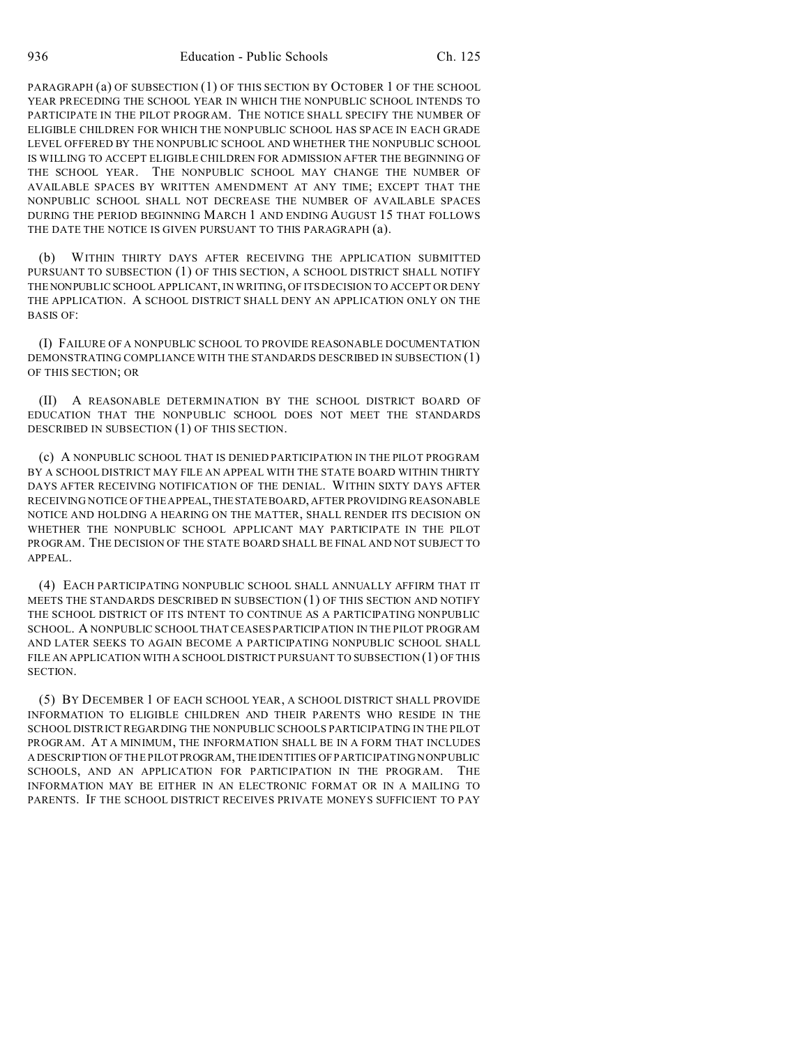PARAGRAPH (a) OF SUBSECTION (1) OF THIS SECTION BY OCTOBER 1 OF THE SCHOOL YEAR PRECEDING THE SCHOOL YEAR IN WHICH THE NONPUBLIC SCHOOL INTENDS TO PARTICIPATE IN THE PILOT PROGRAM. THE NOTICE SHALL SPECIFY THE NUMBER OF ELIGIBLE CHILDREN FOR WHICH THE NONPUBLIC SCHOOL HAS SPACE IN EACH GRADE LEVEL OFFERED BY THE NONPUBLIC SCHOOL AND WHETHER THE NONPUBLIC SCHOOL IS WILLING TO ACCEPT ELIGIBLE CHILDREN FOR ADMISSION AFTER THE BEGINNING OF THE SCHOOL YEAR. THE NONPUBLIC SCHOOL MAY CHANGE THE NUMBER OF AVAILABLE SPACES BY WRITTEN AMENDMENT AT ANY TIME; EXCEPT THAT THE NONPUBLIC SCHOOL SHALL NOT DECREASE THE NUMBER OF AVAILABLE SPACES DURING THE PERIOD BEGINNING MARCH 1 AND ENDING AUGUST 15 THAT FOLLOWS THE DATE THE NOTICE IS GIVEN PURSUANT TO THIS PARAGRAPH (a).

(b) WITHIN THIRTY DAYS AFTER RECEIVING THE APPLICATION SUBMITTED PURSUANT TO SUBSECTION (1) OF THIS SECTION, A SCHOOL DISTRICT SHALL NOTIFY THENONPUBLIC SCHOOL APPLICANT, IN WRITING, OF ITS DECISION TO ACCEPT OR DENY THE APPLICATION. A SCHOOL DISTRICT SHALL DENY AN APPLICATION ONLY ON THE BASIS OF:

(I) FAILURE OF A NONPUBLIC SCHOOL TO PROVIDE REASONABLE DOCUMENTATION DEMONSTRATING COMPLIANCE WITH THE STANDARDS DESCRIBED IN SUBSECTION (1) OF THIS SECTION; OR

(II) A REASONABLE DETERMINATION BY THE SCHOOL DISTRICT BOARD OF EDUCATION THAT THE NONPUBLIC SCHOOL DOES NOT MEET THE STANDARDS DESCRIBED IN SUBSECTION (1) OF THIS SECTION.

(c) A NONPUBLIC SCHOOL THAT IS DENIED PARTICIPATION IN THE PILOT PROGRAM BY A SCHOOL DISTRICT MAY FILE AN APPEAL WITH THE STATE BOARD WITHIN THIRTY DAYS AFTER RECEIVING NOTIFICATION OF THE DENIAL. WITHIN SIXTY DAYS AFTER RECEIVING NOTICE OF THE APPEAL,THESTATEBOARD, AFTER PROVIDING REASONABLE NOTICE AND HOLDING A HEARING ON THE MATTER, SHALL RENDER ITS DECISION ON WHETHER THE NONPUBLIC SCHOOL APPLICANT MAY PARTICIPATE IN THE PILOT PROGRAM. THE DECISION OF THE STATE BOARD SHALL BE FINAL AND NOT SUBJECT TO APPEAL.

(4) EACH PARTICIPATING NONPUBLIC SCHOOL SHALL ANNUALLY AFFIRM THAT IT MEETS THE STANDARDS DESCRIBED IN SUBSECTION (1) OF THIS SECTION AND NOTIFY THE SCHOOL DISTRICT OF ITS INTENT TO CONTINUE AS A PARTICIPATING NONPUBLIC SCHOOL. A NONPUBLIC SCHOOL THAT CEASES PARTICIPATION IN THE PILOT PROGRAM AND LATER SEEKS TO AGAIN BECOME A PARTICIPATING NONPUBLIC SCHOOL SHALL FILE AN APPLICATION WITH A SCHOOL DISTRICT PURSUANT TO SUBSECTION (1) OF THIS SECTION.

(5) BY DECEMBER 1 OF EACH SCHOOL YEAR, A SCHOOL DISTRICT SHALL PROVIDE INFORMATION TO ELIGIBLE CHILDREN AND THEIR PARENTS WHO RESIDE IN THE SCHOOL DISTRICT REGARDING THE NONPUBLIC SCHOOLS PARTICIPATING IN THE PILOT PROGRAM. AT A MINIMUM, THE INFORMATION SHALL BE IN A FORM THAT INCLUDES A DESCRIPTION OF THE PILOTPROGRAM,THEIDENTITIES OF PARTICIPATING NONPUBLIC SCHOOLS, AND AN APPLICATION FOR PARTICIPATION IN THE PROGRAM. THE INFORMATION MAY BE EITHER IN AN ELECTRONIC FORMAT OR IN A MAILING TO PARENTS. IF THE SCHOOL DISTRICT RECEIVES PRIVATE MONEYS SUFFICIENT TO PAY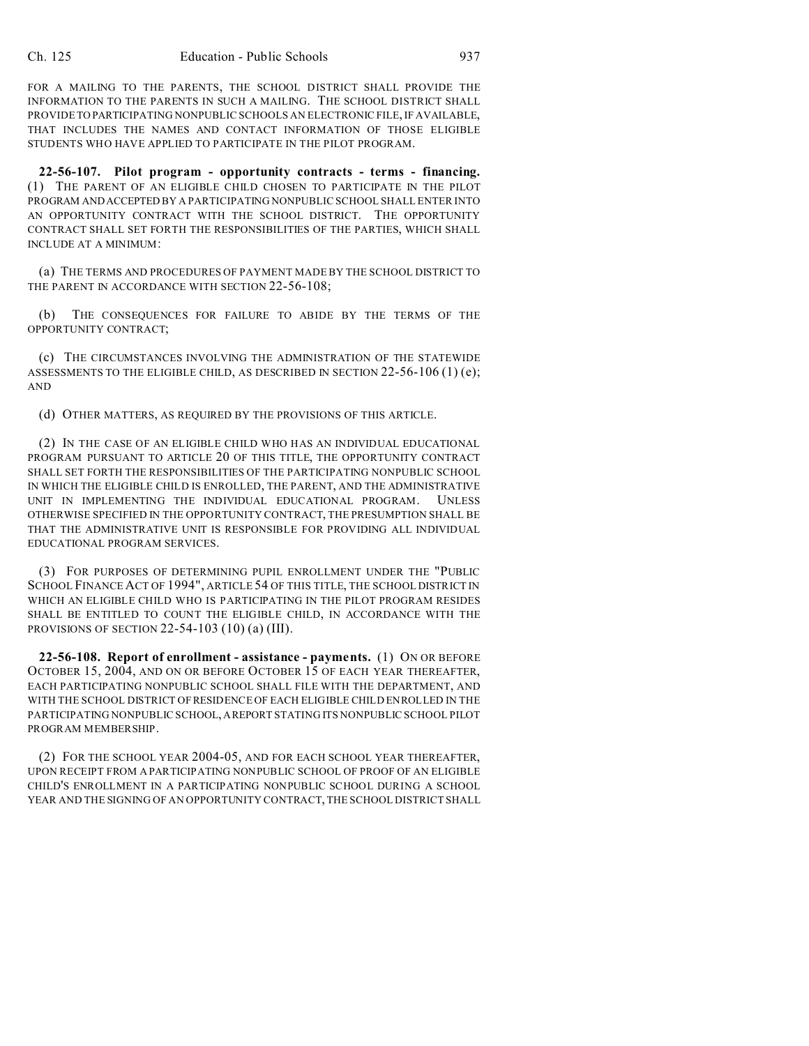FOR A MAILING TO THE PARENTS, THE SCHOOL DISTRICT SHALL PROVIDE THE INFORMATION TO THE PARENTS IN SUCH A MAILING. THE SCHOOL DISTRICT SHALL PROVIDETO PARTICIPATING NONPUBLIC SCHOOLS AN ELECTRONIC FILE, IF AVAILABLE, THAT INCLUDES THE NAMES AND CONTACT INFORMATION OF THOSE ELIGIBLE STUDENTS WHO HAVE APPLIED TO PARTICIPATE IN THE PILOT PROGRAM.

**22-56-107. Pilot program - opportunity contracts - terms - financing.** (1) THE PARENT OF AN ELIGIBLE CHILD CHOSEN TO PARTICIPATE IN THE PILOT PROGRAM ANDACCEPTED BY A PARTICIPATING NONPUBLIC SCHOOL SHALL ENTER INTO AN OPPORTUNITY CONTRACT WITH THE SCHOOL DISTRICT. THE OPPORTUNITY CONTRACT SHALL SET FORTH THE RESPONSIBILITIES OF THE PARTIES, WHICH SHALL INCLUDE AT A MINIMUM:

(a) THE TERMS AND PROCEDURES OF PAYMENT MADE BY THE SCHOOL DISTRICT TO THE PARENT IN ACCORDANCE WITH SECTION 22-56-108:

(b) THE CONSEQUENCES FOR FAILURE TO ABIDE BY THE TERMS OF THE OPPORTUNITY CONTRACT;

(c) THE CIRCUMSTANCES INVOLVING THE ADMINISTRATION OF THE STATEWIDE ASSESSMENTS TO THE ELIGIBLE CHILD, AS DESCRIBED IN SECTION  $22-56-106$  (1) (e); AND

(d) OTHER MATTERS, AS REQUIRED BY THE PROVISIONS OF THIS ARTICLE.

(2) IN THE CASE OF AN ELIGIBLE CHILD WHO HAS AN INDIVIDUAL EDUCATIONAL PROGRAM PURSUANT TO ARTICLE 20 OF THIS TITLE, THE OPPORTUNITY CONTRACT SHALL SET FORTH THE RESPONSIBILITIES OF THE PARTICIPATING NONPUBLIC SCHOOL IN WHICH THE ELIGIBLE CHILD IS ENROLLED, THE PARENT, AND THE ADMINISTRATIVE UNIT IN IMPLEMENTING THE INDIVIDUAL EDUCATIONAL PROGRAM. UNLESS OTHERWISE SPECIFIED IN THE OPPORTUNITY CONTRACT, THE PRESUMPTION SHALL BE THAT THE ADMINISTRATIVE UNIT IS RESPONSIBLE FOR PROVIDING ALL INDIVIDUAL EDUCATIONAL PROGRAM SERVICES.

(3) FOR PURPOSES OF DETERMINING PUPIL ENROLLMENT UNDER THE "PUBLIC SCHOOL FINANCE ACT OF 1994", ARTICLE 54 OF THIS TITLE, THE SCHOOL DISTRICT IN WHICH AN ELIGIBLE CHILD WHO IS PARTICIPATING IN THE PILOT PROGRAM RESIDES SHALL BE ENTITLED TO COUNT THE ELIGIBLE CHILD, IN ACCORDANCE WITH THE PROVISIONS OF SECTION  $22-54-103$  (10) (a) (III).

**22-56-108. Report of enrollment - assistance - payments.** (1) ON OR BEFORE OCTOBER 15, 2004, AND ON OR BEFORE OCTOBER 15 OF EACH YEAR THEREAFTER, EACH PARTICIPATING NONPUBLIC SCHOOL SHALL FILE WITH THE DEPARTMENT, AND WITH THE SCHOOL DISTRICT OF RESIDENCE OF EACH ELIGIBLE CHILD ENROLLED IN THE PARTICIPATING NONPUBLIC SCHOOL,AREPORT STATING ITS NONPUBLIC SCHOOL PILOT PROGRAM MEMBERSHIP.

(2) FOR THE SCHOOL YEAR 2004-05, AND FOR EACH SCHOOL YEAR THEREAFTER, UPON RECEIPT FROM A PARTICIPATING NONPUBLIC SCHOOL OF PROOF OF AN ELIGIBLE CHILD'S ENROLLMENT IN A PARTICIPATING NONPUBLIC SCHOOL DURING A SCHOOL YEAR AND THE SIGNING OF AN OPPORTUNITY CONTRACT, THE SCHOOL DISTRICT SHALL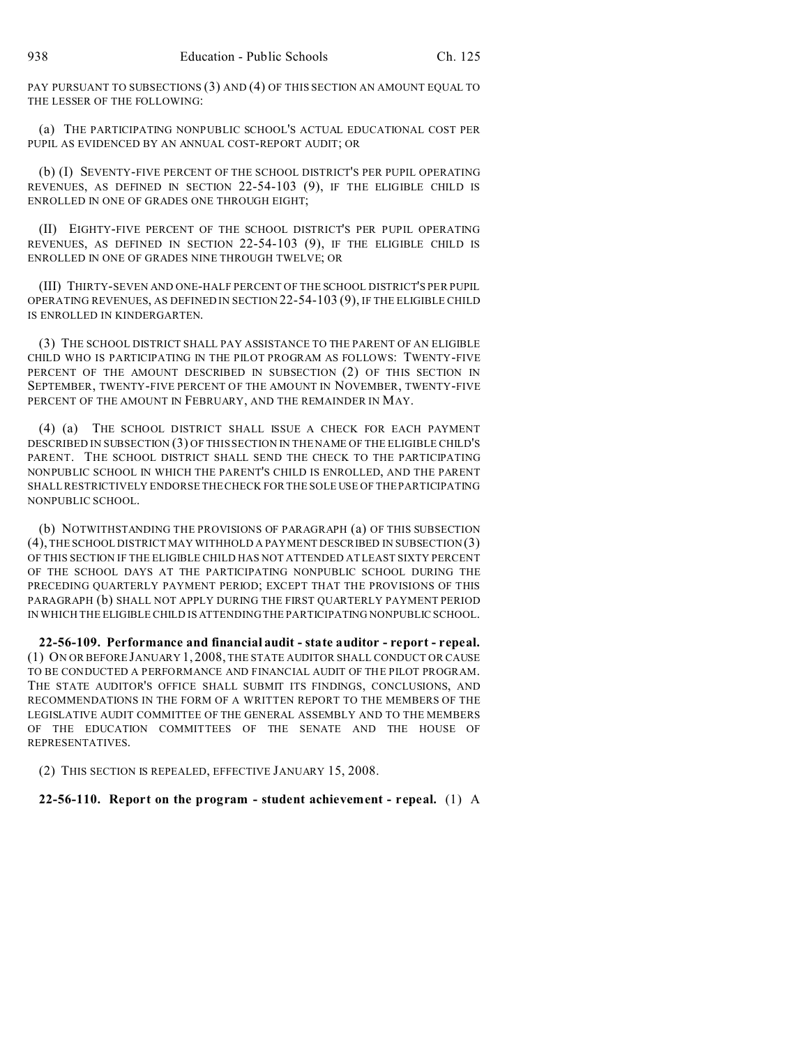PAY PURSUANT TO SUBSECTIONS (3) AND (4) OF THIS SECTION AN AMOUNT EQUAL TO THE LESSER OF THE FOLLOWING:

(a) THE PARTICIPATING NONPUBLIC SCHOOL'S ACTUAL EDUCATIONAL COST PER PUPIL AS EVIDENCED BY AN ANNUAL COST-REPORT AUDIT; OR

(b) (I) SEVENTY-FIVE PERCENT OF THE SCHOOL DISTRICT'S PER PUPIL OPERATING REVENUES, AS DEFINED IN SECTION 22-54-103 (9), IF THE ELIGIBLE CHILD IS ENROLLED IN ONE OF GRADES ONE THROUGH EIGHT;

(II) EIGHTY-FIVE PERCENT OF THE SCHOOL DISTRICT'S PER PUPIL OPERATING REVENUES, AS DEFINED IN SECTION 22-54-103 (9), IF THE ELIGIBLE CHILD IS ENROLLED IN ONE OF GRADES NINE THROUGH TWELVE; OR

(III) THIRTY-SEVEN AND ONE-HALF PERCENT OF THE SCHOOL DISTRICT'S PER PUPIL OPERATING REVENUES, AS DEFINED IN SECTION 22-54-103 (9), IF THE ELIGIBLE CHILD IS ENROLLED IN KINDERGARTEN.

(3) THE SCHOOL DISTRICT SHALL PAY ASSISTANCE TO THE PARENT OF AN ELIGIBLE CHILD WHO IS PARTICIPATING IN THE PILOT PROGRAM AS FOLLOWS: TWENTY-FIVE PERCENT OF THE AMOUNT DESCRIBED IN SUBSECTION (2) OF THIS SECTION IN SEPTEMBER, TWENTY-FIVE PERCENT OF THE AMOUNT IN NOVEMBER, TWENTY-FIVE PERCENT OF THE AMOUNT IN FEBRUARY, AND THE REMAINDER IN MAY.

(4) (a) THE SCHOOL DISTRICT SHALL ISSUE A CHECK FOR EACH PAYMENT DESCRIBED IN SUBSECTION (3) OF THIS SECTION IN THE NAME OF THE ELIGIBLE CHILD'S PARENT. THE SCHOOL DISTRICT SHALL SEND THE CHECK TO THE PARTICIPATING NONPUBLIC SCHOOL IN WHICH THE PARENT'S CHILD IS ENROLLED, AND THE PARENT SHALL RESTRICTIVELY ENDORSE THE CHECK FOR THE SOLE USE OF THE PARTICIPATING NONPUBLIC SCHOOL.

(b) NOTWITHSTANDING THE PROVISIONS OF PARAGRAPH (a) OF THIS SUBSECTION (4), THE SCHOOL DISTRICT MAY WITHHOLD A PAYMENT DESCRIBED IN SUBSECTION (3) OF THIS SECTION IF THE ELIGIBLE CHILD HAS NOT ATTENDED AT LEAST SIXTY PERCENT OF THE SCHOOL DAYS AT THE PARTICIPATING NONPUBLIC SCHOOL DURING THE PRECEDING QUARTERLY PAYMENT PERIOD; EXCEPT THAT THE PROVISIONS OF THIS PARAGRAPH (b) SHALL NOT APPLY DURING THE FIRST QUARTERLY PAYMENT PERIOD IN WHICH THE ELIGIBLE CHILD IS ATTENDING THE PARTICIPATING NONPUBLIC SCHOOL.

**22-56-109. Performance and financial audit - state auditor - report - repeal.** (1) ON OR BEFORE JANUARY 1, 2008, THE STATE AUDITOR SHALL CONDUCT OR CAUSE TO BE CONDUCTED A PERFORMANCE AND FINANCIAL AUDIT OF THE PILOT PROGRAM. THE STATE AUDITOR'S OFFICE SHALL SUBMIT ITS FINDINGS, CONCLUSIONS, AND RECOMMENDATIONS IN THE FORM OF A WRITTEN REPORT TO THE MEMBERS OF THE LEGISLATIVE AUDIT COMMITTEE OF THE GENERAL ASSEMBLY AND TO THE MEMBERS OF THE EDUCATION COMMITTEES OF THE SENATE AND THE HOUSE OF REPRESENTATIVES.

(2) THIS SECTION IS REPEALED, EFFECTIVE JANUARY 15, 2008.

**22-56-110. Report on the program - student achievement - repeal.** (1) A